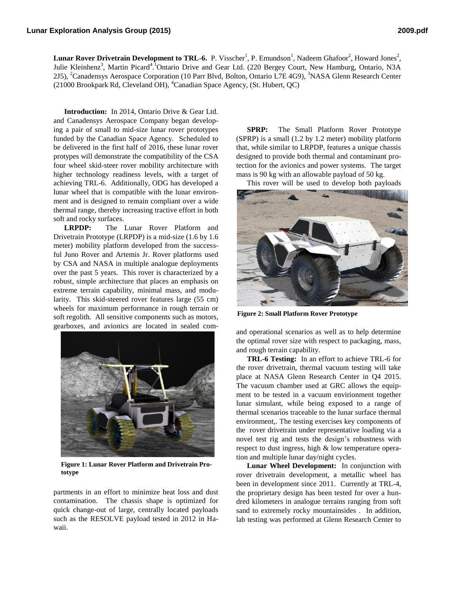**Lunar Rover Drivetrain Development to TRL-6.** P. Visscher<sup>1</sup>, P. Emundson<sup>1</sup>, Nadeem Ghafoor<sup>2</sup>, Howard Jones<sup>2</sup>, Julie Kleinhenz<sup>3</sup>, Martin Picard<sup>4</sup>.<sup>1</sup>Ontario Drive and Gear Ltd. (220 Bergey Court, New Hamburg, Ontario, N3A 2J5), <sup>2</sup>Canadensys Aerospace Corporation (10 Parr Blvd, Bolton, Ontario L7E 4G9), <sup>3</sup>NASA Glenn Research Center (21000 Brookpark Rd, Cleveland OH),  ${}^4$ Canadian Space Agency, (St. Hubert, QC)

**Introduction:** In 2014, Ontario Drive & Gear Ltd. and Canadensys Aerospace Company began developing a pair of small to mid-size lunar rover prototypes funded by the Canadian Space Agency. Scheduled to be delivered in the first half of 2016, these lunar rover protypes will demonstrate the compatibility of the CSA four wheel skid-steer rover mobility architecture with higher technology readiness levels, with a target of achieving TRL-6. Additionally, ODG has developed a lunar wheel that is compatible with the lunar environment and is designed to remain compliant over a wide thermal range, thereby increasing tractive effort in both soft and rocky surfaces.

**LRPDP:** The Lunar Rover Platform and Drivetrain Prototype (LRPDP) is a mid-size (1.6 by 1.6 meter) mobility platform developed from the successful Juno Rover and Artemis Jr. Rover platforms used by CSA and NASA in multiple analogue deployments over the past 5 years. This rover is characterized by a robust, simple architecture that places an emphasis on extreme terrain capability, minimal mass, and modularity. This skid-steered rover features large (55 cm) wheels for maximum performance in rough terrain or soft regolith. All sensitive components such as motors, gearboxes, and avionics are located in sealed com-



**Figure 1: Lunar Rover Platform and Drivetrain Prototype**

partments in an effort to minimize heat loss and dust contamination. The chassis shape is optimized for quick change-out of large, centrally located payloads such as the RESOLVE payload tested in 2012 in Hawaii.

**SPRP:** The Small Platform Rover Prototype (SPRP) is a small (1.2 by 1.2 meter) mobility platform that, while similar to LRPDP, features a unique chassis designed to provide both thermal and contaminant protection for the avionics and power systems. The target mass is 90 kg with an allowable payload of 50 kg.

This rover will be used to develop both payloads



**Figure 2: Small Platform Rover Prototype**

and operational scenarios as well as to help determine the optimal rover size with respect to packaging, mass, and rough terrain capability.

**TRL-6 Testing:** In an effort to achieve TRL-6 for the rover drivetrain, thermal vacuum testing will take place at NASA Glenn Research Center in Q4 2015. The vacuum chamber used at GRC allows the equipment to be tested in a vacuum envirionment together lunar simulant, while being exposed to a range of thermal scenarios traceable to the lunar surface thermal environment,. The testing exercises key components of the rover drivetrain under representative loading via a novel test rig and tests the design's robustness with respect to dust ingress, high & low temperature operation and multiple lunar day/night cycles.

**Lunar Wheel Development:** In conjunction with rover drivetrain development, a metallic wheel has been in development since 2011. Currently at TRL-4, the proprietary design has been tested for over a hundred kilometers in analogue terrains ranging from soft sand to extremely rocky mountainsides . In addition, lab testing was performed at Glenn Research Center to